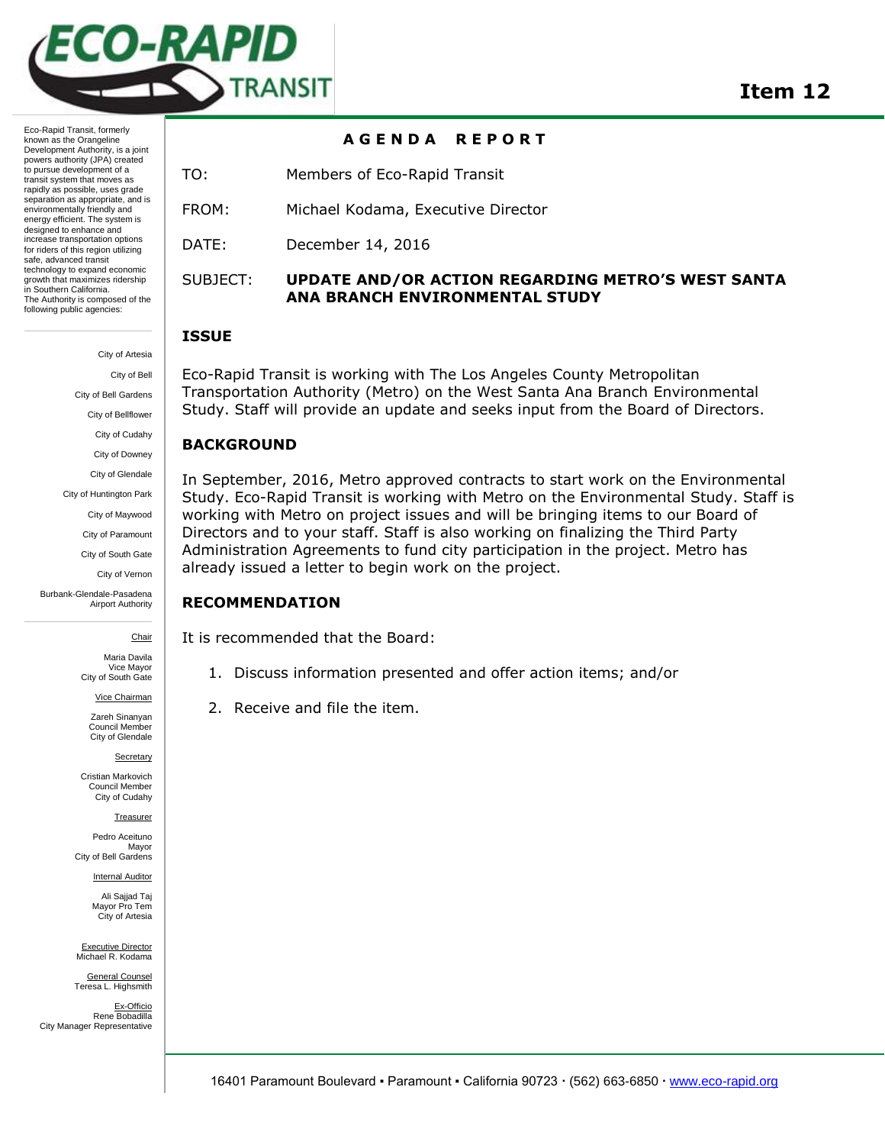

Eco-Rapid Transit, formerly known as the Orangeline Development Authority, is a joint powers authority (JPA) created to pursue development of a transit system that moves as rapidly as possible, uses grade separation as appropriate, and is environmentally friendly and energy efficient. The system is designed to enhance and increase transportation options for riders of this region utilizing safe, advanced transit technology to expand economic growth that maximizes ridership in Southern California. The Authority is composed of the following public agencies:

> City of Artesia City of Bell City of Bell Gardens City of Bellflower City of Cudahy City of Downey City of Glendale

City of Huntington Park

City of Maywood

City of Paramount

City of South Gate

City of Vernon

Burbank-Glendale-Pasadena Airport Authority

Chair

Maria Davila Vice Mayor City of South Gate

Vice Chairman

Zareh Sinanyan Council Member City of Glendale

**Secretary** 

Cristian Markovich Council Member City of Cudahy

Treasurer

Pedro Aceituno **Mayor** City of Bell Gardens

**Internal Auditor** 

Ali Sajjad Taj Mayor Pro Tem City of Artesia

Executive Director Michael R. Kodama

General Counsel Teresa L. Highsmith

Ex-Officio Rene Bobadilla City Manager Representative

#### **A G E N D A R E P O R T**

TO: Members of Eco-Rapid Transit

FROM: Michael Kodama, Executive Director

DATE: December 14, 2016

## SUBJECT: **UPDATE AND/OR ACTION REGARDING METRO'S WEST SANTA ANA BRANCH ENVIRONMENTAL STUDY**

#### **ISSUE**

Eco-Rapid Transit is working with The Los Angeles County Metropolitan Transportation Authority (Metro) on the West Santa Ana Branch Environmental Study. Staff will provide an update and seeks input from the Board of Directors.

## **BACKGROUND**

In September, 2016, Metro approved contracts to start work on the Environmental Study. Eco-Rapid Transit is working with Metro on the Environmental Study. Staff is working with Metro on project issues and will be bringing items to our Board of Directors and to your staff. Staff is also working on finalizing the Third Party Administration Agreements to fund city participation in the project. Metro has already issued a letter to begin work on the project.

#### **RECOMMENDATION**

It is recommended that the Board:

- 1. Discuss information presented and offer action items; and/or
- 2. Receive and file the item.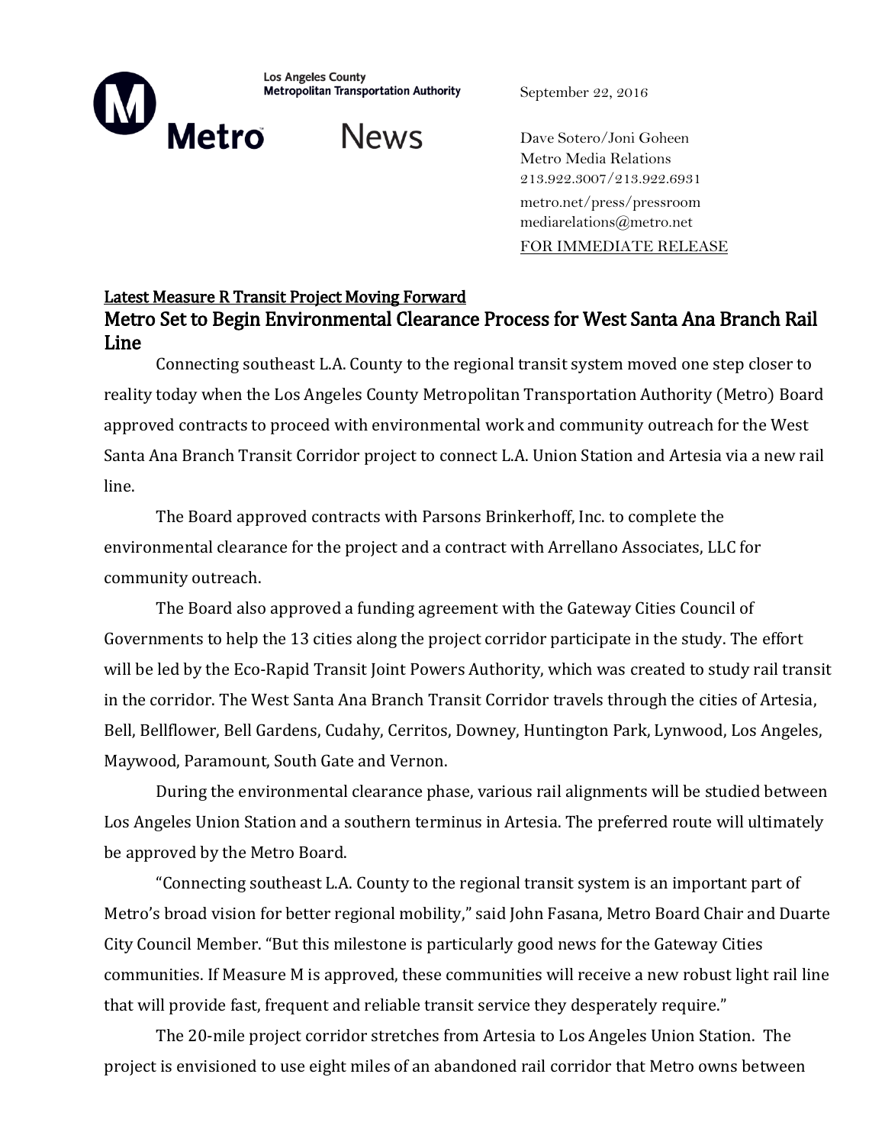**Los Angeles County** Metropolitan Transportation Authority

September 22, 2016

**Metro** 

News

Dave Sotero/Joni Goheen Metro Media Relations 213.922.3007/213.922.6931 metro.net/press/pressroom mediarelations@metro.net FOR IMMEDIATE RELEASE

# Latest Measure R Transit Project Moving Forward Metro Set to Begin Environmental Clearance Process for West Santa Ana Branch Rail Line

Connecting southeast L.A. County to the regional transit system moved one step closer to reality today when the Los Angeles County Metropolitan Transportation Authority (Metro) Board approved contracts to proceed with environmental work and community outreach for the West Santa Ana Branch Transit Corridor project to connect L.A. Union Station and Artesia via a new rail line.

The Board approved contracts with Parsons Brinkerhoff, Inc. to complete the environmental clearance for the project and a contract with Arrellano Associates, LLC for community outreach.

The Board also approved a funding agreement with the Gateway Cities Council of Governments to help the 13 cities along the project corridor participate in the study. The effort will be led by the Eco-Rapid Transit Joint Powers Authority, which was created to study rail transit in the corridor. The West Santa Ana Branch Transit Corridor travels through the cities of Artesia, Bell, Bellflower, Bell Gardens, Cudahy, Cerritos, Downey, Huntington Park, Lynwood, Los Angeles, Maywood, Paramount, South Gate and Vernon.

During the environmental clearance phase, various rail alignments will be studied between Los Angeles Union Station and a southern terminus in Artesia. The preferred route will ultimately be approved by the Metro Board.

"Connecting southeast L.A. County to the regional transit system is an important part of Metro's broad vision for better regional mobility," said John Fasana, Metro Board Chair and Duarte City Council Member. "But this milestone is particularly good news for the Gateway Cities communities. If Measure M is approved, these communities will receive a new robust light rail line that will provide fast, frequent and reliable transit service they desperately require."

The 20-mile project corridor stretches from Artesia to Los Angeles Union Station. The project is envisioned to use eight miles of an abandoned rail corridor that Metro owns between